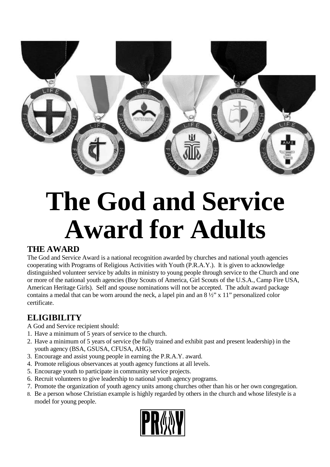

## **The God and Service Award for Adults**

## **THE AWARD**

The God and Service Award is a national recognition awarded by churches and national youth agencies cooperating with Programs of Religious Activities with Youth (P.R.A.Y.). It is given to acknowledge distinguished volunteer service by adults in ministry to young people through service to the Church and one or more of the national youth agencies (Boy Scouts of America, Girl Scouts of the U.S.A., Camp Fire USA, American Heritage Girls). Self and spouse nominations will not be accepted. The adult award package contains a medal that can be worn around the neck, a lapel pin and an  $8\frac{1}{2}$  x 11" personalized color certificate.

## **ELIGIBILITY**

A God and Service recipient should:

- 1. Have a minimum of 5 years of service to the church.
- 2. Have a minimum of 5 years of service (be fully trained and exhibit past and present leadership) in the youth agency (BSA, GSUSA, CFUSA, AHG).
- 3. Encourage and assist young people in earning the P.R.A.Y. award.
- 4. Promote religious observances at youth agency functions at all levels.
- 5. Encourage youth to participate in community service projects.
- 6. Recruit volunteers to give leadership to national youth agency programs.
- 7. Promote the organization of youth agency units among churches other than his or her own congregation.
- 8. Be a person whose Christian example is highly regarded by others in the church and whose lifestyle is a model for young people.